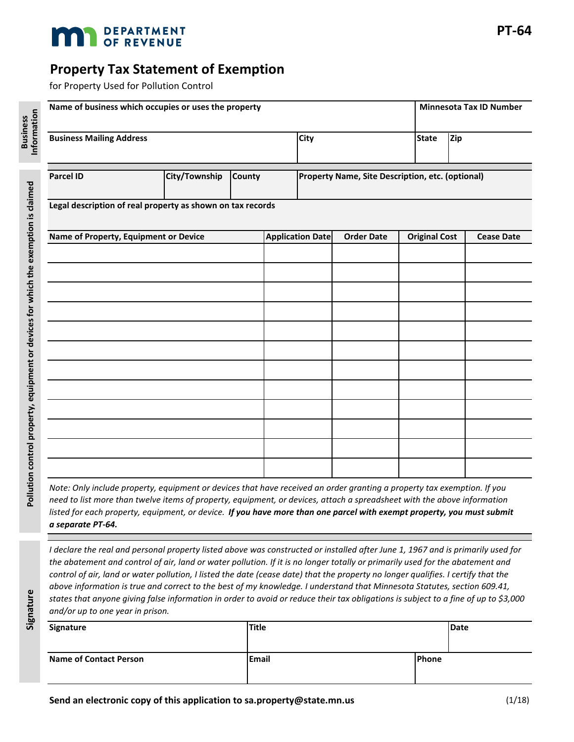

## **Property Tax Statement of Exemption**

for Property Used for Pollution Control

Signature

| Name of business which occupies or uses the property |                                                            |                         |  |                                                  |  |                      | <b>Minnesota Tax ID Number</b> |                   |  |  |
|------------------------------------------------------|------------------------------------------------------------|-------------------------|--|--------------------------------------------------|--|----------------------|--------------------------------|-------------------|--|--|
| <b>Business Mailing Address</b>                      |                                                            |                         |  | <b>City</b>                                      |  |                      | <b>State</b>                   | Zip               |  |  |
|                                                      |                                                            |                         |  |                                                  |  |                      |                                |                   |  |  |
| <b>Parcel ID</b>                                     | City/Township                                              | <b>County</b>           |  | Property Name, Site Description, etc. (optional) |  |                      |                                |                   |  |  |
|                                                      | Legal description of real property as shown on tax records |                         |  |                                                  |  |                      |                                |                   |  |  |
| Name of Property, Equipment or Device                |                                                            | <b>Application Date</b> |  | <b>Order Date</b>                                |  | <b>Original Cost</b> |                                | <b>Cease Date</b> |  |  |
|                                                      |                                                            |                         |  |                                                  |  |                      |                                |                   |  |  |
|                                                      |                                                            |                         |  |                                                  |  |                      |                                |                   |  |  |
|                                                      |                                                            |                         |  |                                                  |  |                      |                                |                   |  |  |
|                                                      |                                                            |                         |  |                                                  |  |                      |                                |                   |  |  |
|                                                      |                                                            |                         |  |                                                  |  |                      |                                |                   |  |  |
|                                                      |                                                            |                         |  |                                                  |  |                      |                                |                   |  |  |
|                                                      |                                                            |                         |  |                                                  |  |                      |                                |                   |  |  |
|                                                      |                                                            |                         |  |                                                  |  |                      |                                |                   |  |  |
|                                                      |                                                            |                         |  |                                                  |  |                      |                                |                   |  |  |
|                                                      |                                                            |                         |  |                                                  |  |                      |                                |                   |  |  |
|                                                      |                                                            |                         |  |                                                  |  |                      |                                |                   |  |  |
|                                                      |                                                            |                         |  |                                                  |  |                      |                                |                   |  |  |

*Note: Only include property, equipment or devices that have received an order granting a property tax exemption. If you need to list more than twelve items of property, equipment, or devices, attach a spreadsheet with the above information listed for each property, equipment, or device. If you have more than one parcel with exempt property, you must submit a separate PT-64.*

*I declare the real and personal property listed above was constructed or installed after June 1, 1967 and is primarily used for the abatement and control of air, land or water pollution. If it is no longer totally or primarily used for the abatement and control of air, land or water pollution, I listed the date (cease date) that the property no longer qualifies. I certify that the above information is true and correct to the best of my knowledge. I understand that Minnesota Statutes, section 609.41, states that anyone giving false information in order to avoid or reduce their tax obligations is subject to a fine of up to \$3,000 and/or up to one year in prison.*

| Signature                     | <b>Title</b> | Date          |  |
|-------------------------------|--------------|---------------|--|
| <b>Name of Contact Person</b> | <b>Email</b> | <b>IPhone</b> |  |